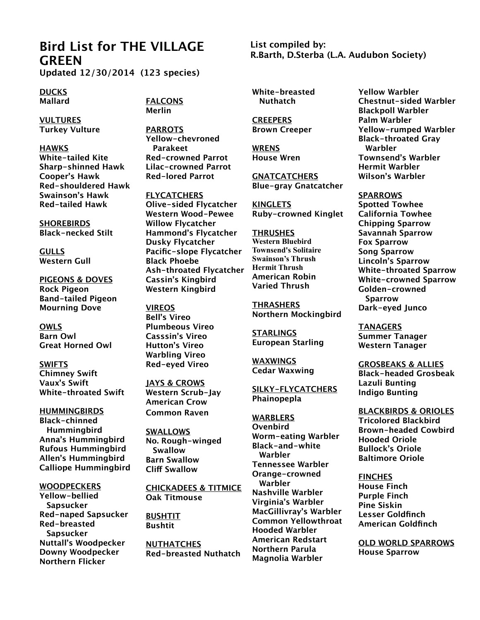## **Bird List for THE VILLAGE GREEN**

**Updated 12/30/2014 (123 species)**

**DUCKS Mallard**

**FALCONS Merlin**

**VULTURES Turkey Vulture**

**HAWKS White-tailed Kite Sharp-shinned Hawk Cooper's Hawk Red-shouldered Hawk Swainson's Hawk Red-tailed Hawk**

**SHOREBIRDS Black-necked Stilt**

**GULLS Western Gull**

**PIGEONS & DOVES Rock Pigeon Band-tailed Pigeon Mourning Dove**

**OWLS Barn Owl Great Horned Owl**

**SWIFTS Chimney Swift Vaux's Swift White-throated Swift**

**HUMMINGBIRDS Black-chinned Hummingbird Anna's Hummingbird Rufous Hummingbird Allen's Hummingbird Calliope Hummingbird**

**WOODPECKERS Yellow-bellied Sapsucker Red-naped Sapsucker Red-breasted Sapsucker Nuttall's Woodpecker Downy Woodpecker Northern Flicker**

**PARROTS Yellow-chevroned Parakeet Red-crowned Parrot Lilac-crowned Parrot Red-lored Parrot**

**FLYCATCHERS Olive-sided Flycatcher Western Wood-Pewee Willow Flycatcher Hammond's Flycatcher Dusky Flycatcher Pacific-slope Flycatcher Black Phoebe Ash-throated Flycatcher Cassin's Kingbird Western Kingbird**

**VIREOS Bell's Vireo Plumbeous Vireo Casssin's Vireo Hutton's Vireo Warbling Vireo Red-eyed Vireo**

**JAYS & CROWS Western Scrub-Jay American Crow Common Raven**

**SWALLOWS No. Rough-winged Swallow Barn Swallow Cli! Swallow**

**CHICKADEES & TITMICE Oak Titmouse**

**BUSHTIT Bushtit**

**NUTHATCHES Red-breasted Nuthatch** **List compiled by: R.Barth, D.Sterba (L.A. Audubon Society)**

**White-breasted Nuthatch**

**CREEPERS Brown Creeper**

**WRENS House Wren**

**GNATCATCHERS Blue-gray Gnatcatcher**

**KINGLETS Ruby-crowned Kinglet**

**THRUSHES Western Bluebird Townsend's Solitaire Swainson's Thrush Hermit Thrush American Robin Varied Thrush**

**THRASHERS Northern Mockingbird**

**STARLINGS European Starling**

**WAXWINGS Cedar Waxwing**

**SILKY-FLYCATCHERS Phainopepla**

**WARBLERS Ovenbird Worm-eating Warbler Black-and-white Warbler Tennessee Warbler Orange-crowned Warbler Nashville Warbler Virginia's Warbler MacGillivray's Warbler Common Yellowthroat Hooded Warbler American Redstart Northern Parula Magnolia Warbler**

**Yellow Warbler Chestnut-sided Warbler Blackpoll Warbler Palm Warbler Yellow-rumped Warbler Black-throated Gray Warbler Townsend's Warbler Hermit Warbler Wilson's Warbler**

**SPARROWS Spotted Towhee California Towhee Chipping Sparrow Savannah Sparrow Fox Sparrow Song Sparrow Lincoln's Sparrow White-throated Sparrow White-crowned Sparrow Golden-crowned Sparrow Dark-eyed Junco**

**TANAGERS Summer Tanager Western Tanager**

**GROSBEAKS & ALLIES Black-headed Grosbeak Lazuli Bunting Indigo Bunting**

**BLACKBIRDS & ORIOLES Tricolored Blackbird Brown-headed Cowbird Hooded Oriole Bullock's Oriole Baltimore Oriole**

**FINCHES House Finch Purple Finch Pine Siskin Lesser Goldfinch American Goldfinch**

**OLD WORLD SPARROWS House Sparrow**